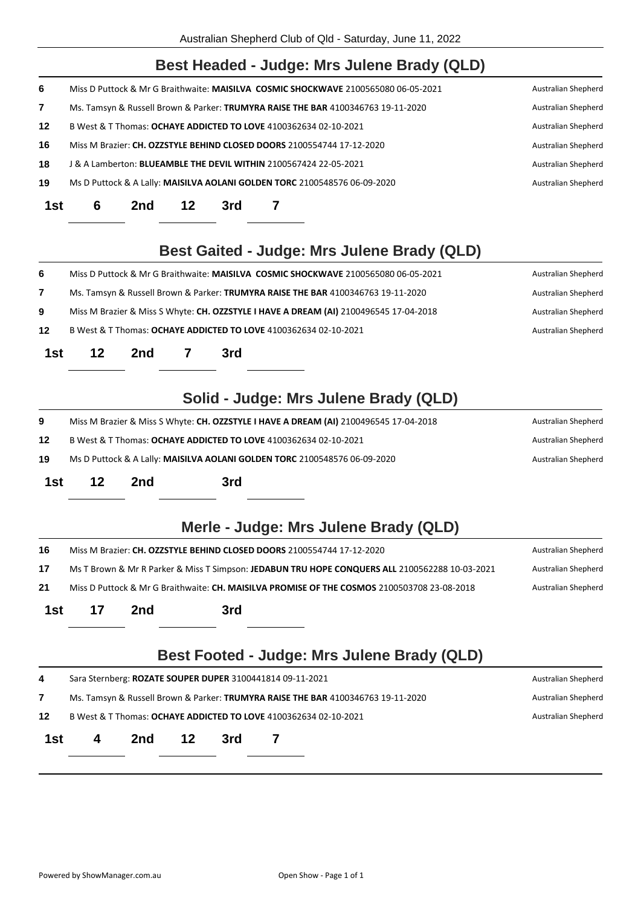|     |                                                                                                                              |                     |    |     | Australian Shepherd Club of Qld - Saturday, June 11, 2022                             |                     |
|-----|------------------------------------------------------------------------------------------------------------------------------|---------------------|----|-----|---------------------------------------------------------------------------------------|---------------------|
|     |                                                                                                                              |                     |    |     | Best Headed - Judge: Mrs Julene Brady (QLD)                                           |                     |
| 6   | Miss D Puttock & Mr G Braithwaite: MAISILVA COSMIC SHOCKWAVE 2100565080 06-05-2021                                           | Australian Shepherd |    |     |                                                                                       |                     |
| 7   | Ms. Tamsyn & Russell Brown & Parker: TRUMYRA RAISE THE BAR 4100346763 19-11-2020                                             | Australian Shepherd |    |     |                                                                                       |                     |
| 12  | B West & T Thomas: OCHAYE ADDICTED TO LOVE 4100362634 02-10-2021                                                             |                     |    |     |                                                                                       |                     |
| 16  | Miss M Brazier: CH. OZZSTYLE BEHIND CLOSED DOORS 2100554744 17-12-2020<br><b>Australian Shepherd</b>                         |                     |    |     |                                                                                       |                     |
| 18  | J & A Lamberton: BLUEAMBLE THE DEVIL WITHIN 2100567424 22-05-2021<br>Australian Shepherd                                     |                     |    |     |                                                                                       |                     |
| 19  | Ms D Puttock & A Lally: MAISILVA AOLANI GOLDEN TORC 2100548576 06-09-2020<br>Australian Shepherd                             |                     |    |     |                                                                                       |                     |
| 1st | 6                                                                                                                            | 2nd                 | 12 | 3rd | 7                                                                                     |                     |
|     |                                                                                                                              |                     |    |     | Best Gaited - Judge: Mrs Julene Brady (QLD)                                           |                     |
| 6   |                                                                                                                              |                     |    |     | Miss D Puttock & Mr G Braithwaite: MAISILVA COSMIC SHOCKWAVE 2100565080 06-05-2021    | Australian Shepherd |
| 7   | Ms. Tamsyn & Russell Brown & Parker: TRUMYRA RAISE THE BAR 4100346763 19-11-2020<br>Australian Shepherd                      |                     |    |     |                                                                                       |                     |
| 9   |                                                                                                                              |                     |    |     | Miss M Brazier & Miss S Whyte: CH. OZZSTYLE I HAVE A DREAM (AI) 2100496545 17-04-2018 | Australian Shepherd |
| 12  |                                                                                                                              |                     |    |     | B West & T Thomas: OCHAYE ADDICTED TO LOVE 4100362634 02-10-2021                      | Australian Shepherd |
| 1st | 12                                                                                                                           | 2nd                 | 7  | 3rd |                                                                                       |                     |
|     |                                                                                                                              |                     |    |     | Solid - Judge: Mrs Julene Brady (QLD)                                                 |                     |
| 9   | Miss M Brazier & Miss S Whyte: CH. OZZSTYLE I HAVE A DREAM (AI) 2100496545 17-04-2018                                        |                     |    |     |                                                                                       | Australian Shepherd |
| 12  | B West & T Thomas: OCHAYE ADDICTED TO LOVE 4100362634 02-10-2021<br>Australian Shepherd                                      |                     |    |     |                                                                                       |                     |
| 19  | Ms D Puttock & A Lally: MAISILVA AOLANI GOLDEN TORC 2100548576 06-09-2020                                                    |                     |    |     |                                                                                       | Australian Shepherd |
| 1st | 12                                                                                                                           | 2nd                 |    | 3rd |                                                                                       |                     |
|     |                                                                                                                              |                     |    |     | Merle - Judge: Mrs Julene Brady (QLD)                                                 |                     |
| 16  | Miss M Brazier: CH. OZZSTYLE BEHIND CLOSED DOORS 2100554744 17-12-2020<br>Australian Shepherd                                |                     |    |     |                                                                                       |                     |
| 17  | Ms T Brown & Mr R Parker & Miss T Simpson: JEDABUN TRU HOPE CONQUERS ALL 2100562288 10-03-2021<br><b>Australian Shepherd</b> |                     |    |     |                                                                                       |                     |
| 21  | Miss D Puttock & Mr G Braithwaite: CH. MAISILVA PROMISE OF THE COSMOS 2100503708 23-08-2018<br>Australian Shepherd           |                     |    |     |                                                                                       |                     |
| 1st | 17                                                                                                                           | 2nd                 |    | 3rd |                                                                                       |                     |
|     |                                                                                                                              |                     |    |     | Best Footed - Judge: Mrs Julene Brady (QLD)                                           |                     |
| 4   | Sara Sternberg: ROZATE SOUPER DUPER 3100441814 09-11-2021<br>Australian Shepherd                                             |                     |    |     |                                                                                       |                     |
| 7   | Ms. Tamsyn & Russell Brown & Parker: TRUMYRA RAISE THE BAR 4100346763 19-11-2020                                             |                     |    |     |                                                                                       | Australian Shepherd |

- **12** B West & T Thomas: **OCHAYE ADDICTED TO LOVE** 4100362634 02-10-2021 Australian Shepherd
- **1st 4 2nd 12 3rd 7**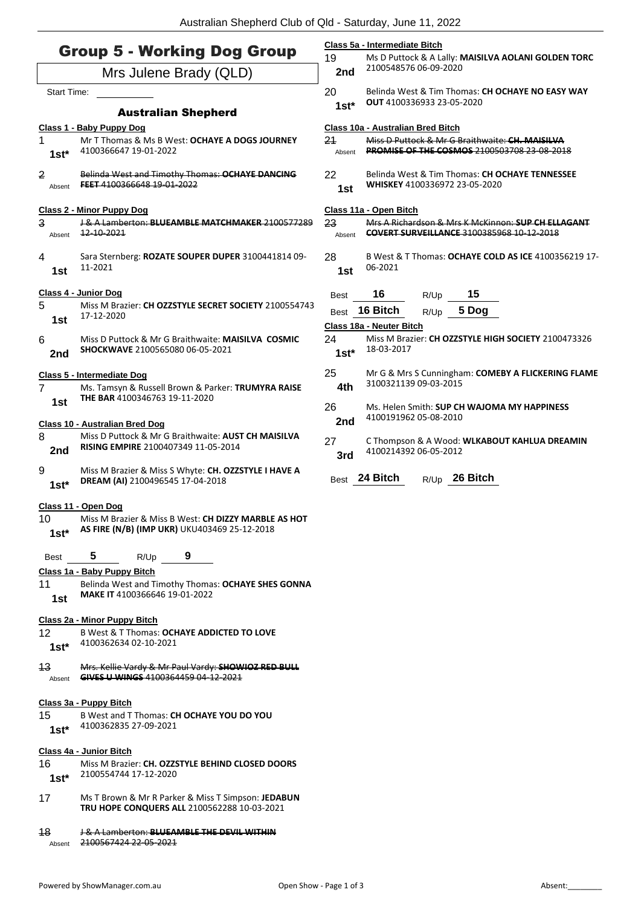|                                    | $\frac{1}{2}$ abuding the price of the basic condition, barrows, the second                                                 |               |                                                                                                                       |  |  |
|------------------------------------|-----------------------------------------------------------------------------------------------------------------------------|---------------|-----------------------------------------------------------------------------------------------------------------------|--|--|
| <b>Group 5 - Working Dog Group</b> |                                                                                                                             |               | Class 5a - Intermediate Bitch<br>19<br>Ms D Puttock & A Lally: MAISILVA AOLANI GOLDEN TORC                            |  |  |
| Mrs Julene Brady (QLD)             |                                                                                                                             |               | 2100548576 06-09-2020                                                                                                 |  |  |
| Start Time:                        |                                                                                                                             |               | Belinda West & Tim Thomas: CH OCHAYE NO EASY WAY                                                                      |  |  |
|                                    | <b>Australian Shepherd</b>                                                                                                  | $1st*$        | <b>OUT</b> 4100336933 23-05-2020                                                                                      |  |  |
|                                    |                                                                                                                             |               | Class 10a - Australian Bred Bitch                                                                                     |  |  |
| $\mathbf 1$<br>$1st*$              | Class 1 - Baby Puppy Dog<br>Mr T Thomas & Ms B West: OCHAYE A DOGS JOURNEY<br>4100366647 19-01-2022                         |               | Miss D Puttock & Mr G Braithwaite: CH. MAISILVA<br>21<br><b>PROMISE OF THE COSMOS 2100503708 23-08-2018</b><br>Absent |  |  |
| 2<br>Absent                        | Belinda West and Timothy Thomas: OCHAYE DANCING<br>FEET 4100366648 19-01-2022                                               | 22<br>1st     | Belinda West & Tim Thomas: CH OCHAYE TENNESSEE<br>WHISKEY 4100336972 23-05-2020                                       |  |  |
| <b>Class 2 - Minor Puppy Dog</b>   |                                                                                                                             |               | Class 11a - Open Bitch                                                                                                |  |  |
| 3<br>Absent                        | J& A Lamberton: BLUEAMBLE MATCHMAKER 2100577289<br>12-10-2021                                                               | 23<br>Absent  | Mrs A Richardson & Mrs K McKinnon: SUP CH ELLAGANT<br><b>COVERT SURVEILLANCE 3100385968 10-12-2018</b>                |  |  |
| 4<br>1st                           | Sara Sternberg: ROZATE SOUPER DUPER 3100441814 09-<br>11-2021                                                               | 28<br>1st     | B West & T Thomas: OCHAYE COLD AS ICE 4100356219 17-<br>06-2021                                                       |  |  |
|                                    | Class 4 - Junior Dog                                                                                                        | <b>Best</b>   | 16<br>15<br>R/Up                                                                                                      |  |  |
| 5                                  | Miss M Brazier: CH OZZSTYLE SECRET SOCIETY 2100554743<br>17-12-2020                                                         | Best          | 16 Bitch<br>5 Dog<br>R/Up                                                                                             |  |  |
| 1st                                |                                                                                                                             |               | Class 18a - Neuter Bitch                                                                                              |  |  |
| 6<br>2nd                           | Miss D Puttock & Mr G Braithwaite: MAISILVA COSMIC<br>SHOCKWAVE 2100565080 06-05-2021                                       | 24<br>$1st^*$ | Miss M Brazier: CH OZZSTYLE HIGH SOCIETY 2100473326<br>18-03-2017                                                     |  |  |
| 7                                  | Class 5 - Intermediate Dog<br>Ms. Tamsyn & Russell Brown & Parker: TRUMYRA RAISE<br>THE BAR 4100346763 19-11-2020           | 25<br>4th     | Mr G & Mrs S Cunningham: COMEBY A FLICKERING FLAME<br>3100321139 09-03-2015                                           |  |  |
| 1st                                | <b>Class 10 - Australian Bred Dog</b>                                                                                       | 26<br>2nd     | Ms. Helen Smith: SUP CH WAJOMA MY HAPPINESS<br>4100191962 05-08-2010                                                  |  |  |
| 8<br>2nd                           | Miss D Puttock & Mr G Braithwaite: AUST CH MAISILVA<br>RISING EMPIRE 2100407349 11-05-2014                                  | 27<br>3rd     | C Thompson & A Wood: WLKABOUT KAHLUA DREAMIN<br>4100214392 06-05-2012                                                 |  |  |
| 9<br>$1st*$                        | Miss M Brazier & Miss S Whyte: CH. OZZSTYLE I HAVE A<br>DREAM (AI) 2100496545 17-04-2018                                    | Best          | 24 Bitch<br>26 Bitch<br>R/Up                                                                                          |  |  |
| 10<br>$1st*$                       | Class 11 - Open Dog<br>Miss M Brazier & Miss B West: CH DIZZY MARBLE AS HOT<br>AS FIRE (N/B) (IMP UKR) UKU403469 25-12-2018 |               |                                                                                                                       |  |  |
| Best                               | 5<br>9<br>R/Up                                                                                                              |               |                                                                                                                       |  |  |
|                                    | Class 1a - Baby Puppy Bitch                                                                                                 |               |                                                                                                                       |  |  |
| 11<br>1st                          | Belinda West and Timothy Thomas: OCHAYE SHES GONNA<br><b>MAKE IT 4100366646 19-01-2022</b>                                  |               |                                                                                                                       |  |  |
| 12<br>$1st*$                       | Class 2a - Minor Puppy Bitch<br>B West & T Thomas: OCHAYE ADDICTED TO LOVE<br>4100362634 02-10-2021                         |               |                                                                                                                       |  |  |
| 13<br>Absent                       | Mrs. Kellie Vardy & Mr Paul Vardy: SHOWIOZ RED BULL<br>GIVES U WINGS 4100364459 04 12 2021                                  |               |                                                                                                                       |  |  |
| 15<br>$1st^*$                      | Class 3a - Puppy Bitch<br>B West and T Thomas: CH OCHAYE YOU DO YOU<br>4100362835 27-09-2021                                |               |                                                                                                                       |  |  |
| 16<br>$1st^*$                      | Class 4a - Junior Bitch<br>Miss M Brazier: CH. OZZSTYLE BEHIND CLOSED DOORS<br>2100554744 17-12-2020                        |               |                                                                                                                       |  |  |
| 17                                 | Ms T Brown & Mr R Parker & Miss T Simpson: JEDABUN<br><b>TRU HOPE CONQUERS ALL 2100562288 10-03-2021</b>                    |               |                                                                                                                       |  |  |

18 J & A Lamberton: **BLUEAMBLE THE DEVIL WITHIN** Absent 2100567424 22-05-2021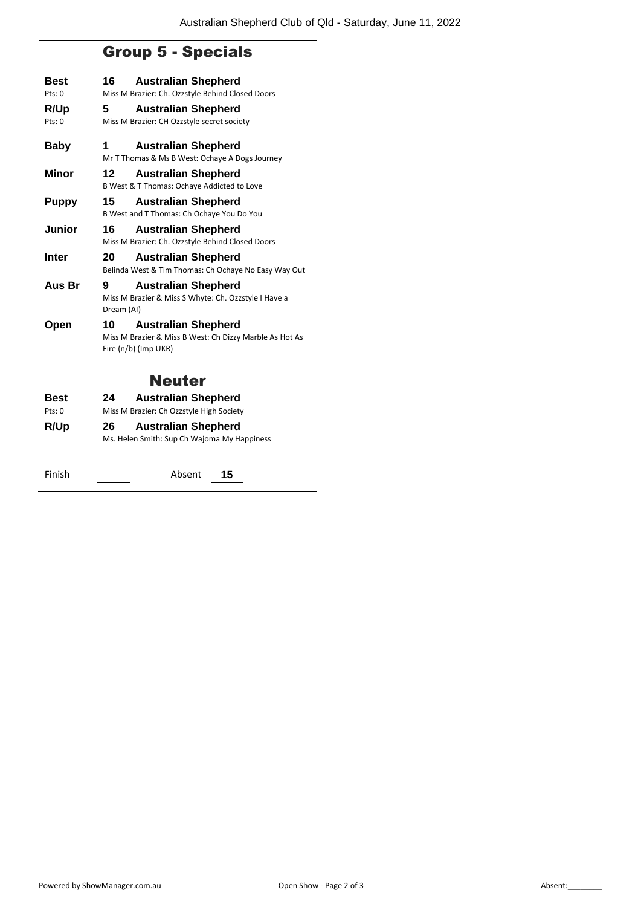## Group 5 - Specials

| Best         | 16<br><b>Australian Shepherd</b>                                                                                    |  |  |  |  |  |
|--------------|---------------------------------------------------------------------------------------------------------------------|--|--|--|--|--|
| Pts: 0       | Miss M Brazier: Ch. Ozzstyle Behind Closed Doors                                                                    |  |  |  |  |  |
| R/Up         | 5<br><b>Australian Shepherd</b>                                                                                     |  |  |  |  |  |
| Pts: 0       | Miss M Brazier: CH Ozzstyle secret society                                                                          |  |  |  |  |  |
| <b>Baby</b>  | 1<br><b>Australian Shepherd</b><br>Mr T Thomas & Ms B West: Ochaye A Dogs Journey                                   |  |  |  |  |  |
| Minor        | 12<br><b>Australian Shepherd</b><br>B West & T Thomas: Ochaye Addicted to Love                                      |  |  |  |  |  |
| Puppy        | 15<br><b>Australian Shepherd</b><br>B West and T Thomas: Ch Ochaye You Do You                                       |  |  |  |  |  |
| Junior       | 16<br><b>Australian Shepherd</b><br>Miss M Brazier: Ch. Ozzstyle Behind Closed Doors                                |  |  |  |  |  |
| <b>Inter</b> | 20<br><b>Australian Shepherd</b><br>Belinda West & Tim Thomas: Ch Ochaye No Easy Way Out                            |  |  |  |  |  |
| Aus Br       | <b>Australian Shepherd</b><br>9<br>Miss M Brazier & Miss S Whyte: Ch. Ozzstyle I Have a<br>Dream (AI)               |  |  |  |  |  |
| Open         | <b>Australian Shepherd</b><br>10<br>Miss M Brazier & Miss B West: Ch Dizzy Marble As Hot As<br>Fire (n/b) (Imp UKR) |  |  |  |  |  |
|              | <b>Neuter</b>                                                                                                       |  |  |  |  |  |
| <b>Best</b>  | <b>Australian Shepherd</b><br>24                                                                                    |  |  |  |  |  |
| Pts: 0       | Miss M Brazier: Ch Ozzstyle High Society                                                                            |  |  |  |  |  |
| R/Up         | 26<br><b>Australian Shepherd</b><br>Ms. Helen Smith: Sup Ch Wajoma My Happiness                                     |  |  |  |  |  |

Finish Absent **15**